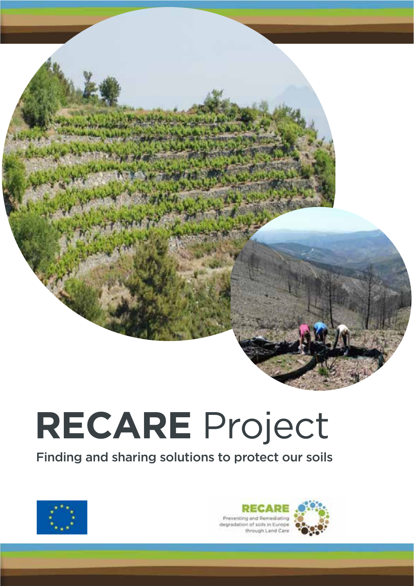# **RECARE** Project

Finding and sharing solutions to protect our soils



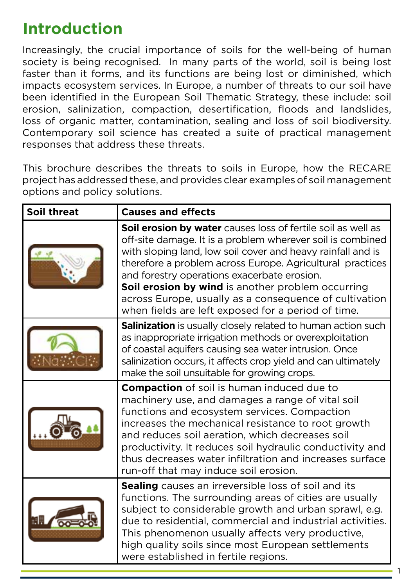# **Introduction**

Increasingly, the crucial importance of soils for the well-being of human society is being recognised. In many parts of the world, soil is being lost faster than it forms, and its functions are being lost or diminished, which impacts ecosystem services. In Europe, a number of threats to our soil have been identified in the European Soil Thematic Strategy, these include: soil erosion, salinization, compaction, desertification, floods and landslides, loss of organic matter, contamination, sealing and loss of soil biodiversity. Contemporary soil science has created a suite of practical management responses that address these threats.

This brochure describes the threats to soils in Europe, how the RECARE project has addressed these, and provides clear examples of soil management options and policy solutions.

| Soil threat | <b>Causes and effects</b>                                                                                                                                                                                                                                                                                                                                                                                                                                                  |  |  |
|-------------|----------------------------------------------------------------------------------------------------------------------------------------------------------------------------------------------------------------------------------------------------------------------------------------------------------------------------------------------------------------------------------------------------------------------------------------------------------------------------|--|--|
|             | Soil erosion by water causes loss of fertile soil as well as<br>off-site damage. It is a problem wherever soil is combined<br>with sloping land, low soil cover and heavy rainfall and is<br>therefore a problem across Europe. Agricultural practices<br>and forestry operations exacerbate erosion.<br>Soil erosion by wind is another problem occurring<br>across Europe, usually as a consequence of cultivation<br>when fields are left exposed for a period of time. |  |  |
|             | <b>Salinization</b> is usually closely related to human action such<br>as inappropriate irrigation methods or overexploitation<br>of coastal aquifers causing sea water intrusion. Once<br>salinization occurs, it affects crop yield and can ultimately<br>make the soil unsuitable for growing crops.                                                                                                                                                                    |  |  |
|             | <b>Compaction</b> of soil is human induced due to<br>machinery use, and damages a range of vital soil<br>functions and ecosystem services. Compaction<br>increases the mechanical resistance to root growth<br>and reduces soil aeration, which decreases soil<br>productivity. It reduces soil hydraulic conductivity and<br>thus decreases water infiltration and increases surface<br>run-off that may induce soil erosion.                                             |  |  |
|             | Sealing causes an irreversible loss of soil and its<br>functions. The surrounding areas of cities are usually<br>subject to considerable growth and urban sprawl, e.g.<br>due to residential, commercial and industrial activities.<br>This phenomenon usually affects very productive,<br>high quality soils since most European settlements<br>were established in fertile regions.                                                                                      |  |  |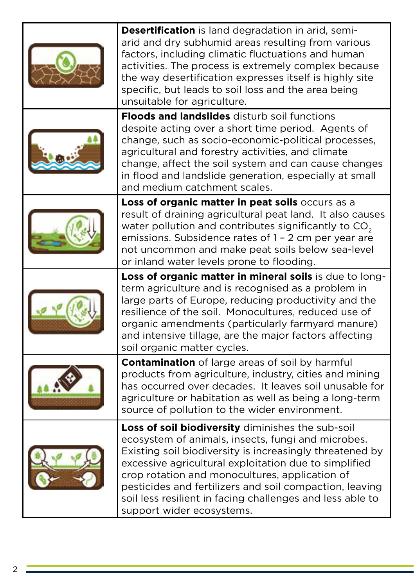| <b>Desertification</b> is land degradation in arid, semi-<br>arid and dry subhumid areas resulting from various<br>factors, including climatic fluctuations and human<br>activities. The process is extremely complex because<br>the way desertification expresses itself is highly site<br>specific, but leads to soil loss and the area being<br>unsuitable for agriculture.                                                      |  |
|-------------------------------------------------------------------------------------------------------------------------------------------------------------------------------------------------------------------------------------------------------------------------------------------------------------------------------------------------------------------------------------------------------------------------------------|--|
| <b>Floods and landslides</b> disturb soil functions<br>despite acting over a short time period. Agents of<br>change, such as socio-economic-political processes,<br>agricultural and forestry activities, and climate<br>change, affect the soil system and can cause changes<br>in flood and landslide generation, especially at small<br>and medium catchment scales.                                                             |  |
| Loss of organic matter in peat soils occurs as a<br>result of draining agricultural peat land. It also causes<br>water pollution and contributes significantly to CO <sub>2</sub><br>emissions. Subsidence rates of 1 - 2 cm per year are<br>not uncommon and make peat soils below sea-level<br>or inland water levels prone to flooding.                                                                                          |  |
| Loss of organic matter in mineral soils is due to long-<br>term agriculture and is recognised as a problem in<br>large parts of Europe, reducing productivity and the<br>resilience of the soil. Monocultures, reduced use of<br>organic amendments (particularly farmyard manure)<br>and intensive tillage, are the major factors affecting<br>soil organic matter cycles.                                                         |  |
| <b>Contamination</b> of large areas of soil by harmful<br>products from agriculture, industry, cities and mining<br>has occurred over decades. It leaves soil unusable for<br>agriculture or habitation as well as being a long-term<br>source of pollution to the wider environment.                                                                                                                                               |  |
| Loss of soil biodiversity diminishes the sub-soil<br>ecosystem of animals, insects, fungi and microbes.<br>Existing soil biodiversity is increasingly threatened by<br>excessive agricultural exploitation due to simplified<br>crop rotation and monocultures, application of<br>pesticides and fertilizers and soil compaction, leaving<br>soil less resilient in facing challenges and less able to<br>support wider ecosystems. |  |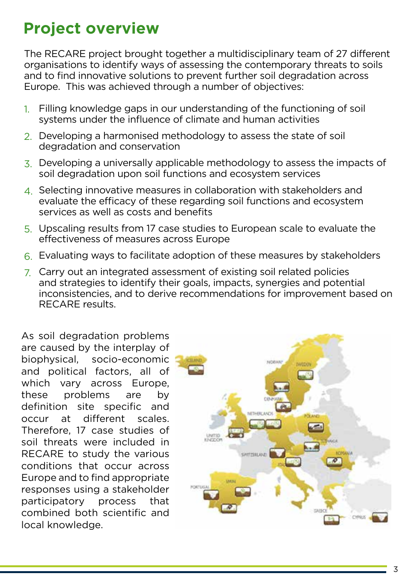# **Project overview**

The RECARE project brought together a multidisciplinary team of 27 different organisations to identify ways of assessing the contemporary threats to soils and to find innovative solutions to prevent further soil degradation across Europe. This was achieved through a number of objectives:

- 1. Filling knowledge gaps in our understanding of the functioning of soil systems under the influence of climate and human activities
- 2. Developing a harmonised methodology to assess the state of soil degradation and conservation
- 3. Developing a universally applicable methodology to assess the impacts of soil degradation upon soil functions and ecosystem services
- 4. Selecting innovative measures in collaboration with stakeholders and evaluate the efficacy of these regarding soil functions and ecosystem services as well as costs and benefits
- 5. Upscaling results from 17 case studies to European scale to evaluate the effectiveness of measures across Europe
- 6. Evaluating ways to facilitate adoption of these measures by stakeholders
- 7. Carry out an integrated assessment of existing soil related policies and strategies to identify their goals, impacts, synergies and potential inconsistencies, and to derive recommendations for improvement based on RECARE results.

As soil degradation problems are caused by the interplay of biophysical, socio-economic and political factors, all of which vary across Europe, these problems are by definition site specific and occur at different scales. Therefore, 17 case studies of soil threats were included in RECARE to study the various conditions that occur across Europe and to find appropriate responses using a stakeholder participatory process that combined both scientific and local knowledge.

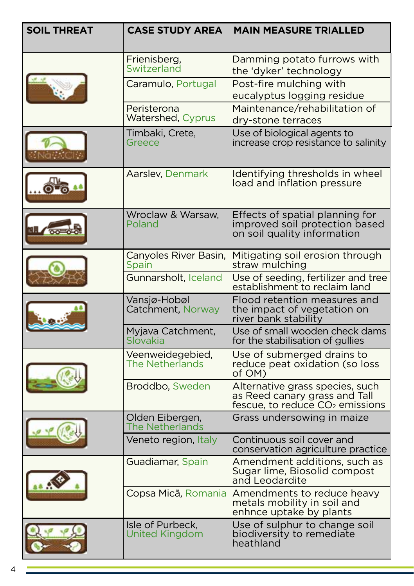| <b>SOIL THREAT</b> | <b>CASE STUDY AREA</b>                     | <b>MAIN MEASURE TRIALLED</b>                                                                                    |
|--------------------|--------------------------------------------|-----------------------------------------------------------------------------------------------------------------|
|                    | Frienisberg,<br>Switzerland                | Damming potato furrows with<br>the 'dyker' technology                                                           |
|                    | Caramulo, Portugal                         | Post-fire mulching with<br>eucalyptus logging residue                                                           |
|                    | Peristerona<br>Watershed, Cyprus           | Maintenance/rehabilitation of<br>dry-stone terraces                                                             |
|                    | Timbaki, Crete,<br>Greece                  | Use of biological agents to<br>increase crop resistance to salinity                                             |
|                    | Aarslev, Denmark                           | Identifying thresholds in wheel<br>load and inflation pressure                                                  |
|                    | Wroclaw & Warsaw,<br>Poland                | Effects of spatial planning for<br>improved soil protection based<br>on soil quality information                |
|                    | Canyoles River Basin,<br>Spain             | Mitigating soil erosion through<br>straw mulching                                                               |
|                    | Gunnarsholt, Iceland                       | Use of seeding, fertilizer and tree<br>establishment to reclaim land                                            |
|                    | Vansjø-Hobøl<br>Catchment, Norway          | Flood retention measures and<br>the impact of vegetation on<br>river bank stability                             |
|                    | Myjava Catchment,<br>Slovakia              | Use of small wooden check dams<br>for the stabilisation of gullies                                              |
|                    | Veenweidegebied,<br><b>The Netherlands</b> | Use of submerged drains to<br>reduce peat oxidation (so loss<br>of OM)                                          |
|                    | Broddbo, Sweden                            | Alternative grass species, such<br>as Reed canary grass and Tall<br>fescue, to reduce CO <sub>2</sub> emissions |
|                    | Olden Eibergen,<br>The Netherlands         | Grass undersowing in maize                                                                                      |
|                    | Veneto region, Italy                       | Continuous soil cover and<br>conservation agriculture practice                                                  |
|                    | Guadiamar, Spain                           | Amendment additions, such as<br>Sugar lime, Biosolid compost<br>and Leodardite                                  |
|                    |                                            | Copsa Micã, Romania Amendments to reduce heavy<br>metals mobility in soil and<br>enhnce uptake by plants        |
|                    | Isle of Purbeck,<br><b>United Kingdom</b>  | Use of sulphur to change soil<br>biodiversity to remediate<br>heathland                                         |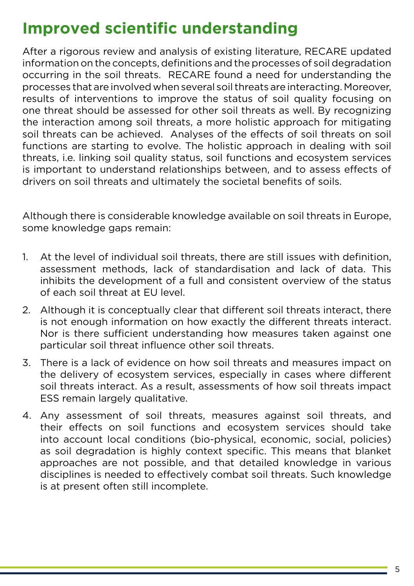# **Improved scientific understanding**

After a rigorous review and analysis of existing literature, RECARE updated information on the concepts, definitions and the processes of soil degradation occurring in the soil threats. RECARE found a need for understanding the processes that are involved when several soil threats are interacting. Moreover, results of interventions to improve the status of soil quality focusing on one threat should be assessed for other soil threats as well. By recognizing the interaction among soil threats, a more holistic approach for mitigating soil threats can be achieved. Analyses of the effects of soil threats on soil functions are starting to evolve. The holistic approach in dealing with soil threats, i.e. linking soil quality status, soil functions and ecosystem services is important to understand relationships between, and to assess effects of drivers on soil threats and ultimately the societal benefits of soils.

Although there is considerable knowledge available on soil threats in Europe, some knowledge gaps remain:

- 1. At the level of individual soil threats, there are still issues with definition, assessment methods, lack of standardisation and lack of data. This inhibits the development of a full and consistent overview of the status of each soil threat at EU level.
- 2. Although it is conceptually clear that different soil threats interact, there is not enough information on how exactly the different threats interact. Nor is there sufficient understanding how measures taken against one particular soil threat influence other soil threats.
- 3. There is a lack of evidence on how soil threats and measures impact on the delivery of ecosystem services, especially in cases where different soil threats interact. As a result, assessments of how soil threats impact ESS remain largely qualitative.
- 4. Any assessment of soil threats, measures against soil threats, and their effects on soil functions and ecosystem services should take into account local conditions (bio-physical, economic, social, policies) as soil degradation is highly context specific. This means that blanket approaches are not possible, and that detailed knowledge in various disciplines is needed to effectively combat soil threats. Such knowledge is at present often still incomplete.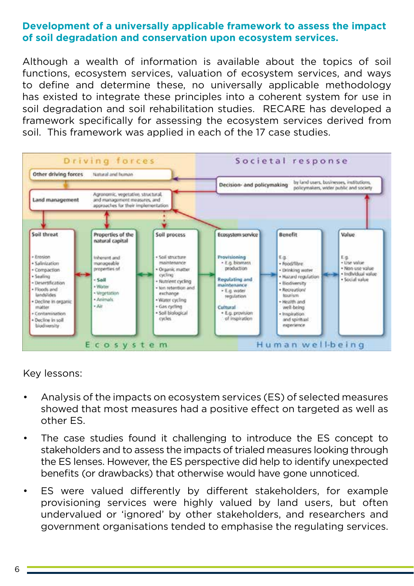## **Development of a universally applicable framework to assess the impact of soil degradation and conservation upon ecosystem services.**

Although a wealth of information is available about the topics of soil functions, ecosystem services, valuation of ecosystem services, and ways to define and determine these, no universally applicable methodology has existed to integrate these principles into a coherent system for use in soil degradation and soil rehabilitation studies. RECARE has developed a framework specifically for assessing the ecosystem services derived from soil. This framework was applied in each of the 17 case studies.



Key lessons:

- Analysis of the impacts on ecosystem services (ES) of selected measures showed that most measures had a positive effect on targeted as well as other ES.
- The case studies found it challenging to introduce the ES concept to stakeholders and to assess the impacts of trialed measures looking through the ES lenses. However, the ES perspective did help to identify unexpected benefits (or drawbacks) that otherwise would have gone unnoticed.
- ES were valued differently by different stakeholders, for example provisioning services were highly valued by land users, but often undervalued or 'ignored' by other stakeholders, and researchers and government organisations tended to emphasise the regulating services.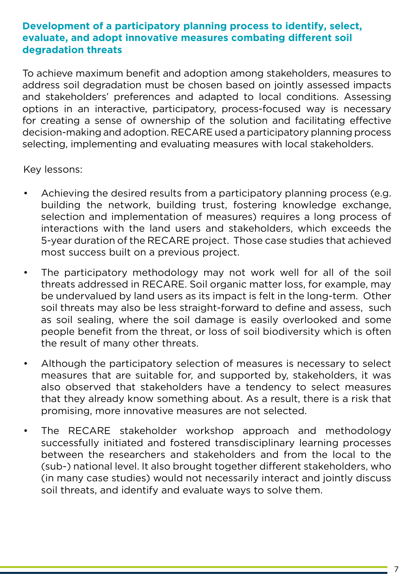## **Development of a participatory planning process to identify, select, evaluate, and adopt innovative measures combating different soil degradation threats**

To achieve maximum benefit and adoption among stakeholders, measures to address soil degradation must be chosen based on jointly assessed impacts and stakeholders' preferences and adapted to local conditions. Assessing options in an interactive, participatory, process-focused way is necessary for creating a sense of ownership of the solution and facilitating effective decision-making and adoption. RECARE used a participatory planning process selecting, implementing and evaluating measures with local stakeholders.

Key lessons:

- Achieving the desired results from a participatory planning process (e.g. building the network, building trust, fostering knowledge exchange, selection and implementation of measures) requires a long process of interactions with the land users and stakeholders, which exceeds the 5-year duration of the RECARE project. Those case studies that achieved most success built on a previous project.
- The participatory methodology may not work well for all of the soil threats addressed in RECARE. Soil organic matter loss, for example, may be undervalued by land users as its impact is felt in the long-term. Other soil threats may also be less straight-forward to define and assess, such as soil sealing, where the soil damage is easily overlooked and some people benefit from the threat, or loss of soil biodiversity which is often the result of many other threats.
- Although the participatory selection of measures is necessary to select measures that are suitable for, and supported by, stakeholders, it was also observed that stakeholders have a tendency to select measures that they already know something about. As a result, there is a risk that promising, more innovative measures are not selected.
- The RECARE stakeholder workshop approach and methodology successfully initiated and fostered transdisciplinary learning processes between the researchers and stakeholders and from the local to the (sub-) national level. It also brought together different stakeholders, who (in many case studies) would not necessarily interact and jointly discuss soil threats, and identify and evaluate ways to solve them.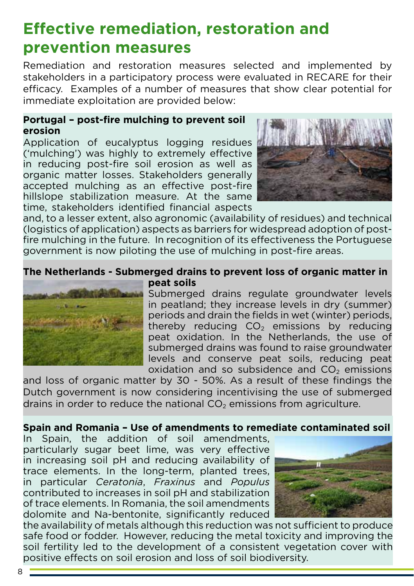# **Effective remediation, restoration and prevention measures**

Remediation and restoration measures selected and implemented by stakeholders in a participatory process were evaluated in RECARE for their efficacy. Examples of a number of measures that show clear potential for immediate exploitation are provided below:

#### **Portugal – post-fire mulching to prevent soil erosion**

Application of eucalyptus logging residues ('mulching') was highly to extremely effective in reducing post-fire soil erosion as well as organic matter losses. Stakeholders generally accepted mulching as an effective post-fire hillslope stabilization measure. At the same time, stakeholders identified financial aspects



and, to a lesser extent, also agronomic (availability of residues) and technical (logistics of application) aspects as barriers for widespread adoption of postfire mulching in the future. In recognition of its effectiveness the Portuguese government is now piloting the use of mulching in post-fire areas.

#### **The Netherlands - Submerged drains to prevent loss of organic matter in peat soils**



Submerged drains regulate groundwater levels in peatland; they increase levels in dry (summer) periods and drain the fields in wet (winter) periods, thereby reducing  $CO<sub>2</sub>$  emissions by reducing peat oxidation. In the Netherlands, the use of submerged drains was found to raise groundwater levels and conserve peat soils, reducing peat oxidation and so subsidence and  $CO<sub>2</sub>$  emissions

and loss of organic matter by 30 - 50%. As a result of these findings the Dutch government is now considering incentivising the use of submerged drains in order to reduce the national  $CO<sub>2</sub>$  emissions from agriculture.

## **Spain and Romania – Use of amendments to remediate contaminated soil**

In Spain, the addition of soil amendments, particularly sugar beet lime, was very effective in increasing soil pH and reducing availability of trace elements. In the long-term, planted trees, in particular *Ceratonia*, *Fraxinus* and *Populus* contributed to increases in soil pH and stabilization of trace elements. In Romania, the soil amendments dolomite and Na-bentonite, significantly reduced



the availability of metals although this reduction was not sufficient to produce safe food or fodder. However, reducing the metal toxicity and improving the soil fertility led to the development of a consistent vegetation cover with positive effects on soil erosion and loss of soil biodiversity.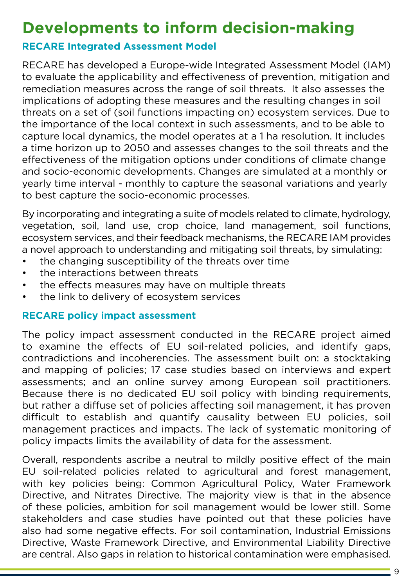## **Developments to inform decision-making**

## **RECARE Integrated Assessment Model**

RECARE has developed a Europe-wide Integrated Assessment Model (IAM) to evaluate the applicability and effectiveness of prevention, mitigation and remediation measures across the range of soil threats. It also assesses the implications of adopting these measures and the resulting changes in soil threats on a set of (soil functions impacting on) ecosystem services. Due to the importance of the local context in such assessments, and to be able to capture local dynamics, the model operates at a 1 ha resolution. It includes a time horizon up to 2050 and assesses changes to the soil threats and the effectiveness of the mitigation options under conditions of climate change and socio-economic developments. Changes are simulated at a monthly or yearly time interval - monthly to capture the seasonal variations and yearly to best capture the socio-economic processes.

By incorporating and integrating a suite of models related to climate, hydrology, vegetation, soil, land use, crop choice, land management, soil functions, ecosystem services, and their feedback mechanisms, the RECARE IAM provides a novel approach to understanding and mitigating soil threats, by simulating:

- the changing susceptibility of the threats over time
- the interactions between threats
- the effects measures may have on multiple threats
- the link to delivery of ecosystem services

### **RECARE policy impact assessment**

The policy impact assessment conducted in the RECARE project aimed to examine the effects of EU soil-related policies, and identify gaps, contradictions and incoherencies. The assessment built on: a stocktaking and mapping of policies; 17 case studies based on interviews and expert assessments; and an online survey among European soil practitioners. Because there is no dedicated EU soil policy with binding requirements, but rather a diffuse set of policies affecting soil management, it has proven difficult to establish and quantify causality between EU policies, soil management practices and impacts. The lack of systematic monitoring of policy impacts limits the availability of data for the assessment.

Overall, respondents ascribe a neutral to mildly positive effect of the main EU soil-related policies related to agricultural and forest management, with key policies being: Common Agricultural Policy, Water Framework Directive, and Nitrates Directive. The majority view is that in the absence of these policies, ambition for soil management would be lower still. Some stakeholders and case studies have pointed out that these policies have also had some negative effects. For soil contamination, Industrial Emissions Directive, Waste Framework Directive, and Environmental Liability Directive are central. Also gaps in relation to historical contamination were emphasised.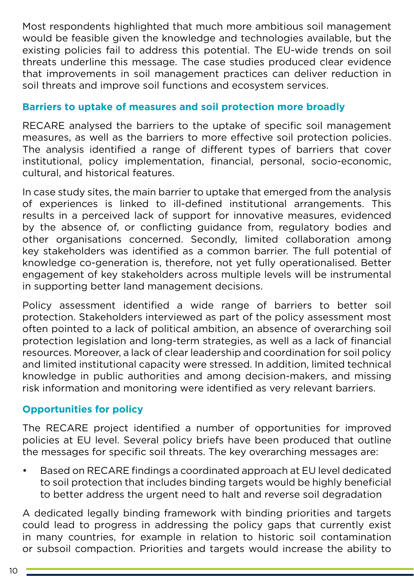Most respondents highlighted that much more ambitious soil management would be feasible given the knowledge and technologies available, but the existing policies fail to address this potential. The EU-wide trends on soil threats underline this message. The case studies produced clear evidence that improvements in soil management practices can deliver reduction in soil threats and improve soil functions and ecosystem services.

## **Barriers to uptake of measures and soil protection more broadly**

RECARE analysed the barriers to the uptake of specific soil management measures, as well as the barriers to more effective soil protection policies. The analysis identified a range of different types of barriers that cover institutional, policy implementation, financial, personal, socio-economic, cultural, and historical features.

In case study sites, the main barrier to uptake that emerged from the analysis of experiences is linked to ill-defined institutional arrangements. This results in a perceived lack of support for innovative measures, evidenced by the absence of, or conflicting guidance from, regulatory bodies and other organisations concerned. Secondly, limited collaboration among key stakeholders was identified as a common barrier. The full potential of knowledge co-generation is, therefore, not yet fully operationalised. Better engagement of key stakeholders across multiple levels will be instrumental in supporting better land management decisions.

Policy assessment identified a wide range of barriers to better soil protection. Stakeholders interviewed as part of the policy assessment most often pointed to a lack of political ambition, an absence of overarching soil protection legislation and long-term strategies, as well as a lack of financial resources. Moreover, a lack of clear leadership and coordination for soil policy and limited institutional capacity were stressed. In addition, limited technical knowledge in public authorities and among decision-makers, and missing risk information and monitoring were identified as very relevant barriers.

## **Opportunities for policy**

The RECARE project identified a number of opportunities for improved policies at EU level. Several policy briefs have been produced that outline the messages for specific soil threats. The key overarching messages are:

• Based on RECARE findings a coordinated approach at EU level dedicated to soil protection that includes binding targets would be highly beneficial to better address the urgent need to halt and reverse soil degradation

A dedicated legally binding framework with binding priorities and targets could lead to progress in addressing the policy gaps that currently exist in many countries, for example in relation to historic soil contamination or subsoil compaction. Priorities and targets would increase the ability to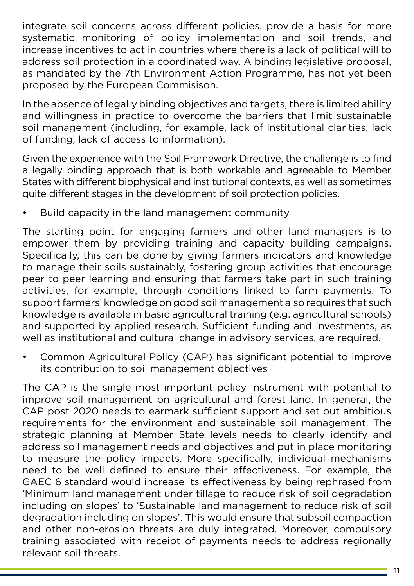integrate soil concerns across different policies, provide a basis for more systematic monitoring of policy implementation and soil trends, and increase incentives to act in countries where there is a lack of political will to address soil protection in a coordinated way. A binding legislative proposal, as mandated by the 7th Environment Action Programme, has not yet been proposed by the European Commisison.

In the absence of legally binding objectives and targets, there is limited ability and willingness in practice to overcome the barriers that limit sustainable soil management (including, for example, lack of institutional clarities, lack of funding, lack of access to information).

Given the experience with the Soil Framework Directive, the challenge is to find a legally binding approach that is both workable and agreeable to Member States with different biophysical and institutional contexts, as well as sometimes quite different stages in the development of soil protection policies.

Build capacity in the land management community

The starting point for engaging farmers and other land managers is to empower them by providing training and capacity building campaigns. Specifically, this can be done by giving farmers indicators and knowledge to manage their soils sustainably, fostering group activities that encourage peer to peer learning and ensuring that farmers take part in such training activities, for example, through conditions linked to farm payments. To support farmers' knowledge on good soil management also requires that such knowledge is available in basic agricultural training (e.g. agricultural schools) and supported by applied research. Sufficient funding and investments, as well as institutional and cultural change in advisory services, are required.

• Common Agricultural Policy (CAP) has significant potential to improve its contribution to soil management objectives

The CAP is the single most important policy instrument with potential to improve soil management on agricultural and forest land. In general, the CAP post 2020 needs to earmark sufficient support and set out ambitious requirements for the environment and sustainable soil management. The strategic planning at Member State levels needs to clearly identify and address soil management needs and objectives and put in place monitoring to measure the policy impacts. More specifically, individual mechanisms need to be well defined to ensure their effectiveness. For example, the GAEC 6 standard would increase its effectiveness by being rephrased from 'Minimum land management under tillage to reduce risk of soil degradation including on slopes' to 'Sustainable land management to reduce risk of soil degradation including on slopes'. This would ensure that subsoil compaction and other non-erosion threats are duly integrated. Moreover, compulsory training associated with receipt of payments needs to address regionally relevant soil threats.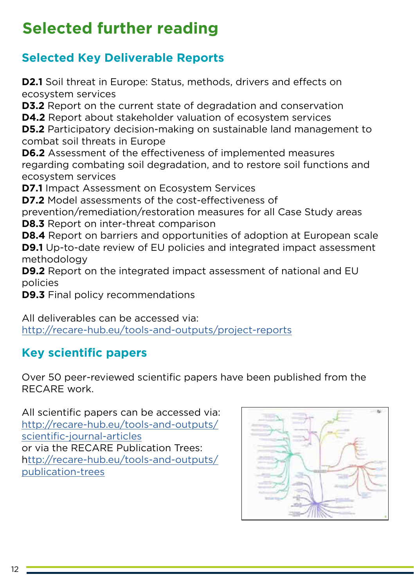# **Selected further reading**

## **Selected Key Deliverable Reports**

**D2.1** Soil threat in Europe: Status, methods, drivers and effects on ecosystem services

**D3.2** Report on the current state of degradation and conservation

**D4.2** Report about stakeholder valuation of ecosystem services

**D5.2** Participatory decision-making on sustainable land management to combat soil threats in Europe

**D6.2** Assessment of the effectiveness of implemented measures regarding combating soil degradation, and to restore soil functions and ecosystem services

**D7.1** Impact Assessment on Ecosystem Services

**D7.2** Model assessments of the cost-effectiveness of

prevention/remediation/restoration measures for all Case Study areas **D8.3** Report on inter-threat comparison

**D8.4** Report on barriers and opportunities of adoption at European scale **D9.1** Up-to-date review of EU policies and integrated impact assessment methodology

**D9.2** Report on the integrated impact assessment of national and EU policies

**D9.3** Final policy recommendations

All deliverables can be accessed via: [http://recare-hub.eu/tools-and-outputs/project-reports](http://recare-hub.eu/tools-and-outputs/project-reports )

## **Key scientific papers**

Over 50 peer-reviewed scientific papers have been published from the RECARE work.

All scientific papers can be accessed via: [http://recare-hub.eu/tools-and-outputs/](http://recare-hub.eu/tools-and-outputs/scientific-journal-articles   ) [scientific-journal-articles](http://recare-hub.eu/tools-and-outputs/scientific-journal-articles   ) or via the RECARE Publication Trees: h[ttp://recare-hub.eu/tools-and-outputs/](ttp://recare-hub.eu/tools-and-outputs/publication-trees ) [publication-trees](ttp://recare-hub.eu/tools-and-outputs/publication-trees )

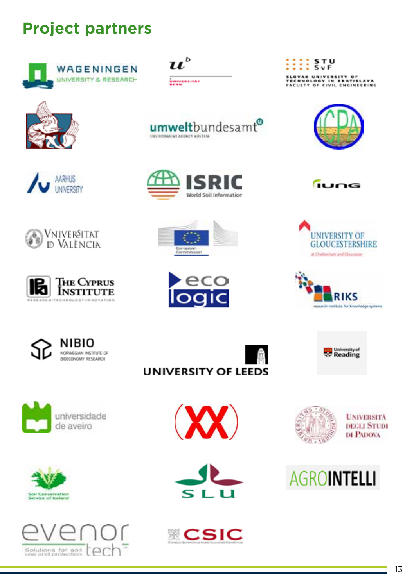# **Project partners**









umweltbundesamt®

 $\boldsymbol{u}^{\text{\tiny b}}$ 

**CONTROLLED ACTIVE AUCTION** 

UNIVERSITÄT